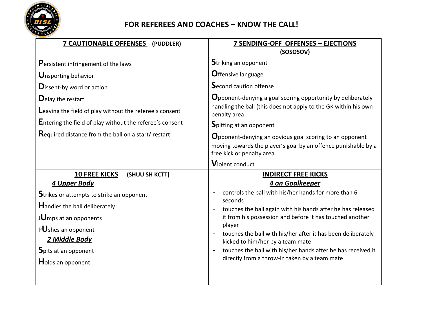

## **FOR REFEREES AND COACHES – KNOW THE CALL!**

| <b>7 CAUTIONABLE OFFENSES</b> (PUDDLER)                                                                                                                                                                                                                                                                                  | <b>7 SENDING-OFF OFFENSES - EJECTIONS</b>                                                                                                                                                                                                                                                                                                                                                                                                                                  |
|--------------------------------------------------------------------------------------------------------------------------------------------------------------------------------------------------------------------------------------------------------------------------------------------------------------------------|----------------------------------------------------------------------------------------------------------------------------------------------------------------------------------------------------------------------------------------------------------------------------------------------------------------------------------------------------------------------------------------------------------------------------------------------------------------------------|
| Persistent infringement of the laws<br><b>U</b> nsporting behavior<br><b>D</b> issent-by word or action<br>Delay the restart<br>Leaving the field of play without the referee's consent<br><b>Entering the field of play without the referee's consent</b><br><b>Required distance from the ball on a start/ restart</b> | (SOSOSOV)<br><b>Striking an opponent</b><br><b>O</b> ffensive language<br><b>Second caution offense</b><br><b>O</b> pponent-denying a goal scoring opportunity by deliberately<br>handling the ball (this does not apply to the GK within his own<br>penalty area<br><b>Spitting at an opponent</b><br><b>O</b> pponent-denying an obvious goal scoring to an opponent<br>moving towards the player's goal by an offence punishable by a                                   |
|                                                                                                                                                                                                                                                                                                                          | free kick or penalty area<br>Violent conduct                                                                                                                                                                                                                                                                                                                                                                                                                               |
| <b>10 FREE KICKS</b><br>(SHUU SH KCTT)<br>4 Upper Body<br>Strikes or attempts to strike an opponent<br><b>Handles the ball deliberately</b><br>JUmps at an opponents<br>PUshes an opponent<br>2 Middle Body<br>Spits at an opponent<br>Holds an opponent                                                                 | <b>INDIRECT FREE KICKS</b><br>4 on Goalkeeper<br>controls the ball with his/her hands for more than 6<br>seconds<br>touches the ball again with his hands after he has released<br>it from his possession and before it has touched another<br>player<br>touches the ball with his/her after it has been deliberately<br>kicked to him/her by a team mate<br>touches the ball with his/her hands after he has received it<br>directly from a throw-in taken by a team mate |